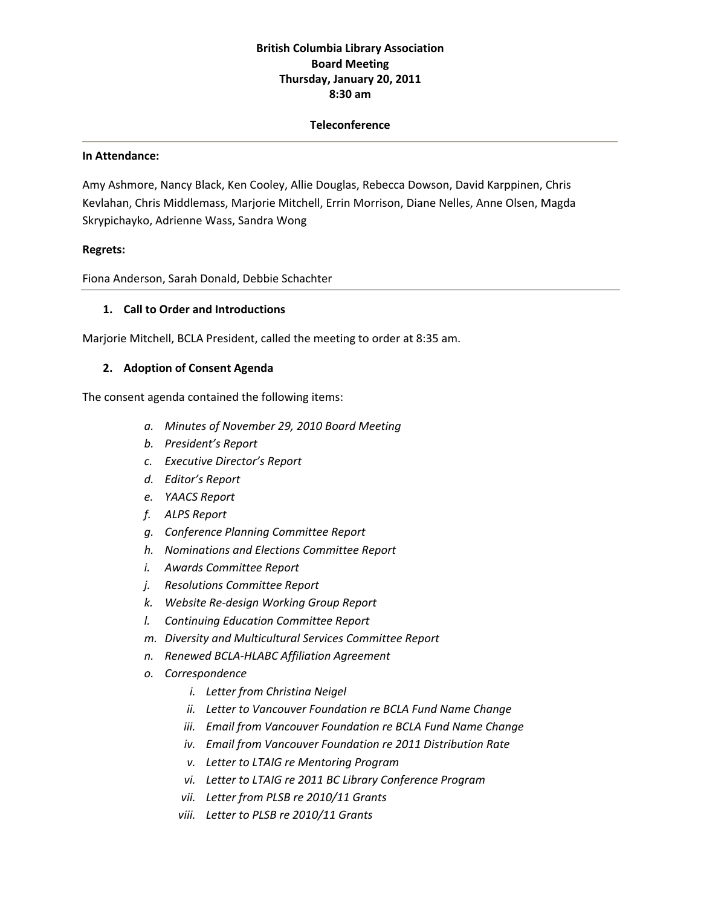# **British Columbia Library Association Board Meeting Thursday, January 20, 2011 8:30 am**

#### **Teleconference**

#### **In Attendance:**

Amy Ashmore, Nancy Black, Ken Cooley, Allie Douglas, Rebecca Dowson, David Karppinen, Chris Kevlahan, Chris Middlemass, Marjorie Mitchell, Errin Morrison, Diane Nelles, Anne Olsen, Magda Skrypichayko, Adrienne Wass, Sandra Wong

#### **Regrets:**

Fiona Anderson, Sarah Donald, Debbie Schachter

### **1. Call to Order and Introductions**

Marjorie Mitchell, BCLA President, called the meeting to order at 8:35 am.

### **2. Adoption of Consent Agenda**

The consent agenda contained the following items:

- *a. Minutes of November 29, 2010 Board Meeting*
- *b. President's Report*
- *c. Executive Director's Report*
- *d. Editor's Report*
- *e. YAACS Report*
- *f. ALPS Report*
- *g. Conference Planning Committee Report*
- *h. Nominations and Elections Committee Report*
- *i. Awards Committee Report*
- *j. Resolutions Committee Report*
- *k. Website Re‐design Working Group Report*
- *l. Continuing Education Committee Report*
- *m. Diversity and Multicultural Services Committee Report*
- *n. Renewed BCLA‐HLABC Affiliation Agreement*
- *o. Correspondence*
	- *i. Letter from Christina Neigel*
	- *ii. Letter to Vancouver Foundation re BCLA Fund Name Change*
	- *iii. Email from Vancouver Foundation re BCLA Fund Name Change*
	- *iv. Email from Vancouver Foundation re 2011 Distribution Rate*
	- *v. Letter to LTAIG re Mentoring Program*
	- *vi. Letter to LTAIG re 2011 BC Library Conference Program*
	- *vii. Letter from PLSB re 2010/11 Grants*
	- *viii. Letter to PLSB re 2010/11 Grants*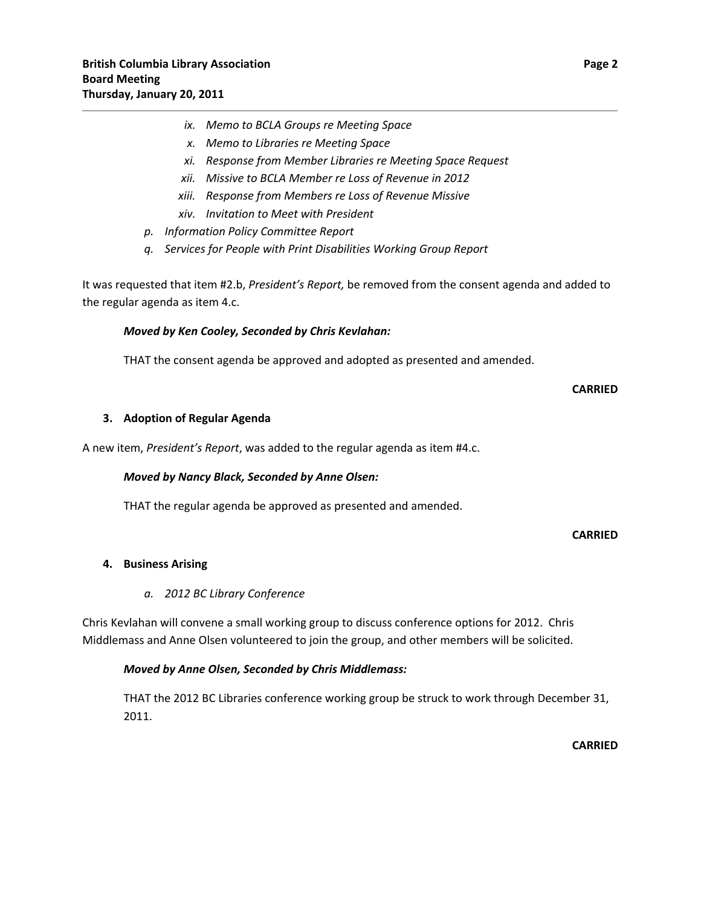- *ix. Memo to BCLA Groups re Meeting Space*
- *x. Memo to Libraries re Meeting Space*
- *xi. Response from Member Libraries re Meeting Space Request*
- *xii. Missive to BCLA Member re Loss of Revenue in 2012*
- *xiii. Response from Members re Loss of Revenue Missive*
- *xiv. Invitation to Meet with President*
- *p. Information Policy Committee Report*
- *q. Services for People with Print Disabilities Working Group Report*

It was requested that item #2.b, *President's Report,* be removed from the consent agenda and added to the regular agenda as item 4.c.

#### *Moved by Ken Cooley, Seconded by Chris Kevlahan:*

THAT the consent agenda be approved and adopted as presented and amended.

#### **CARRIED**

#### **3. Adoption of Regular Agenda**

A new item, *President's Report*, was added to the regular agenda as item #4.c.

#### *Moved by Nancy Black, Seconded by Anne Olsen:*

THAT the regular agenda be approved as presented and amended.

#### **CARRIED**

### **4. Business Arising**

#### *a. 2012 BC Library Conference*

Chris Kevlahan will convene a small working group to discuss conference options for 2012. Chris Middlemass and Anne Olsen volunteered to join the group, and other members will be solicited.

#### *Moved by Anne Olsen, Seconded by Chris Middlemass:*

THAT the 2012 BC Libraries conference working group be struck to work through December 31, 2011.

**CARRIED**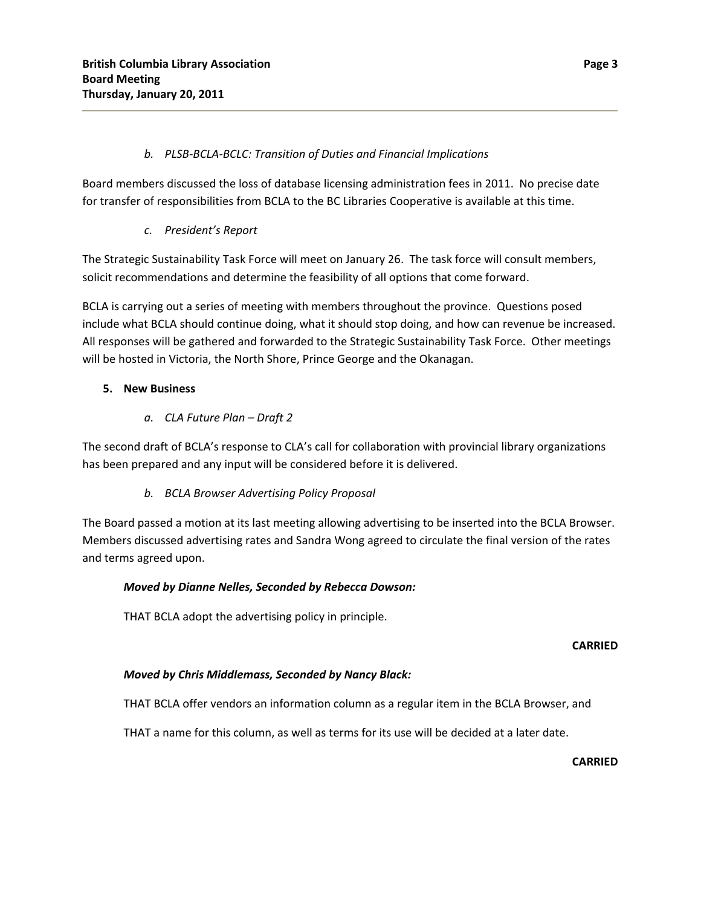## *b. PLSB‐BCLA‐BCLC: Transition of Duties and Financial Implications*

Board members discussed the loss of database licensing administration fees in 2011. No precise date for transfer of responsibilities from BCLA to the BC Libraries Cooperative is available at this time.

## *c. President's Report*

The Strategic Sustainability Task Force will meet on January 26. The task force will consult members, solicit recommendations and determine the feasibility of all options that come forward.

BCLA is carrying out a series of meeting with members throughout the province. Questions posed include what BCLA should continue doing, what it should stop doing, and how can revenue be increased. All responses will be gathered and forwarded to the Strategic Sustainability Task Force. Other meetings will be hosted in Victoria, the North Shore, Prince George and the Okanagan.

## **5. New Business**

## *a. CLA Future Plan – Draft 2*

The second draft of BCLA's response to CLA's call for collaboration with provincial library organizations has been prepared and any input will be considered before it is delivered.

*b. BCLA Browser Advertising Policy Proposal*

The Board passed a motion at its last meeting allowing advertising to be inserted into the BCLA Browser. Members discussed advertising rates and Sandra Wong agreed to circulate the final version of the rates and terms agreed upon.

### *Moved by Dianne Nelles, Seconded by Rebecca Dowson:*

THAT BCLA adopt the advertising policy in principle.

### **CARRIED**

# *Moved by Chris Middlemass, Seconded by Nancy Black:*

THAT BCLA offer vendors an information column as a regular item in the BCLA Browser, and

THAT a name for this column, as well as terms for its use will be decided at a later date.

**CARRIED**